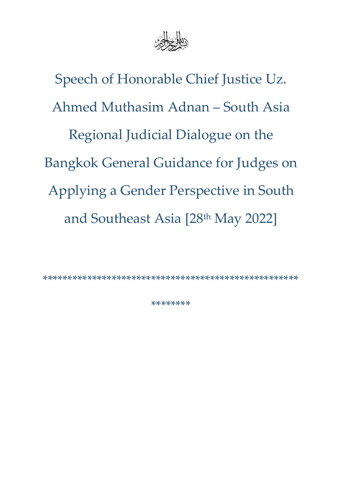

Speech of Honorable Chief Justice Uz. Ahmed Muthasim Adnan – South Asia Regional Judicial Dialogue on the Bangkok General Guidance for Judges on Applying a Gender Perspective in South and Southeast Asia [28<sup>th</sup> May 2022]

\*\*\*\*\*\*\*\*\*\*\*\*\*\*\*\*\*\*\*\*\*\*\*\*\*\*\*\*\*\*\*\*\*\*\*\*\*\*\*\*\*\*\*\*\*\*\*\*\*\*\*\*

\*\*\*\*\*\*\*\*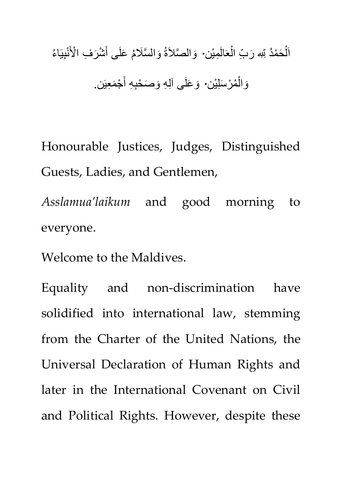اَلْحَمْدُ <sub>لِّ</sub>لِّهِ رَبِّ الْعَالَمِيْن. وَالصَّلاَةُ وَالسَّلَامُ عَلَى أَشْرَفِ الْأَنْبِيَاءُ ْ ر<br>ا ر<br>پ َ ر<br>ا وَالْمُرْسَلِيْن· وَعَلَى آلِهِ وَصَحْبِهِ أَجْمَعِيَن. ر<br>م ْ َ

Honourable Justices, Judges, Distinguished Guests, Ladies, and Gentlemen,

*Asslamua'laikum* and good morning to everyone.

Welcome to the Maldives.

Equality and non-discrimination have solidified into international law, stemming from the Charter of the United Nations, the Universal Declaration of Human Rights and later in the International Covenant on Civil and Political Rights. However, despite these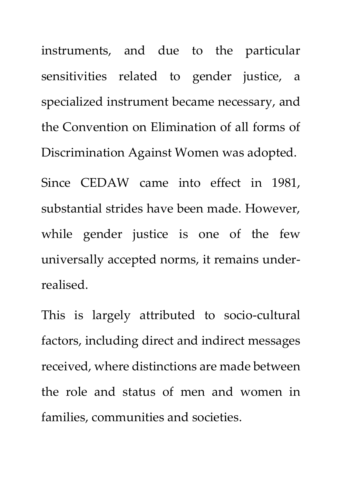instruments, and due to the particular sensitivities related to gender justice, a specialized instrument became necessary, and the Convention on Elimination of all forms of Discrimination Against Women was adopted.

Since CEDAW came into effect in 1981, substantial strides have been made. However, while gender justice is one of the few universally accepted norms, it remains underrealised.

This is largely attributed to socio-cultural factors, including direct and indirect messages received, where distinctions are made between the role and status of men and women in families, communities and societies.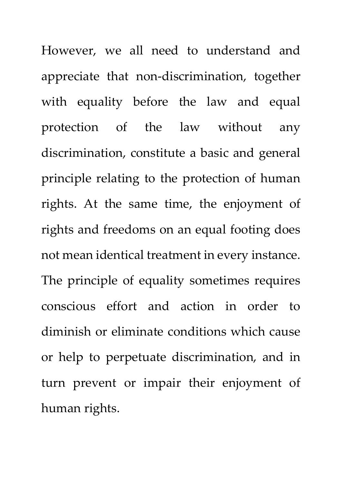However, we all need to understand and appreciate that non-discrimination, together with equality before the law and equal protection of the law without any discrimination, constitute a basic and general principle relating to the protection of human rights. At the same time, the enjoyment of rights and freedoms on an equal footing does not mean identical treatment in every instance. The principle of equality sometimes requires conscious effort and action in order to diminish or eliminate conditions which cause or help to perpetuate discrimination, and in turn prevent or impair their enjoyment of human rights.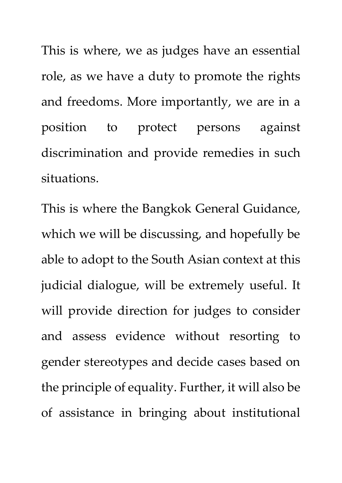This is where, we as judges have an essential role, as we have a duty to promote the rights and freedoms. More importantly, we are in a position to protect persons against discrimination and provide remedies in such situations.

This is where the Bangkok General Guidance, which we will be discussing, and hopefully be able to adopt to the South Asian context at this judicial dialogue, will be extremely useful. It will provide direction for judges to consider and assess evidence without resorting to gender stereotypes and decide cases based on the principle of equality. Further, it will also be of assistance in bringing about institutional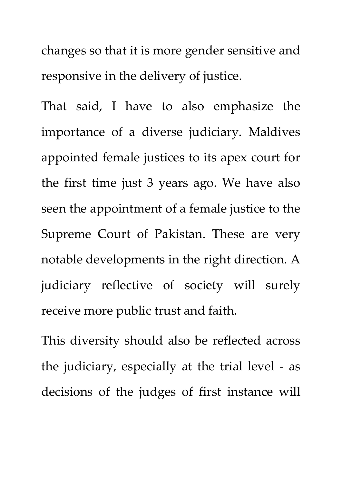changes so that it is more gender sensitive and responsive in the delivery of justice.

That said, I have to also emphasize the importance of a diverse judiciary. Maldives appointed female justices to its apex court for the first time just 3 years ago. We have also seen the appointment of a female justice to the Supreme Court of Pakistan. These are very notable developments in the right direction. A judiciary reflective of society will surely receive more public trust and faith.

This diversity should also be reflected across the judiciary, especially at the trial level - as decisions of the judges of first instance will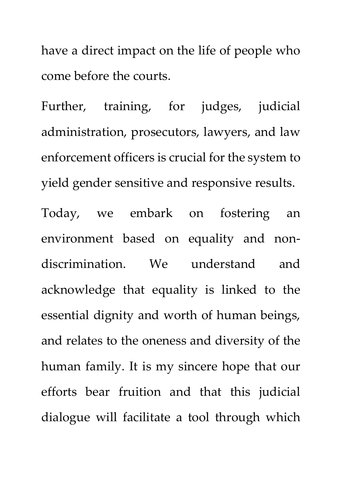have a direct impact on the life of people who come before the courts.

Further, training, for judges, judicial administration, prosecutors, lawyers, and law enforcement officers is crucial for the system to yield gender sensitive and responsive results. Today, we embark on fostering an environment based on equality and nondiscrimination. We understand and acknowledge that equality is linked to the essential dignity and worth of human beings, and relates to the oneness and diversity of the human family. It is my sincere hope that our efforts bear fruition and that this judicial dialogue will facilitate a tool through which